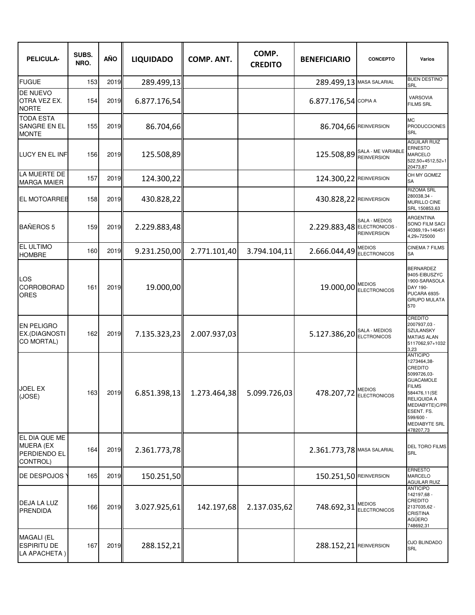| PELICULA-                                                            | SUBS.<br>NRO. | <b>AÑO</b> | <b>LIQUIDADO</b> | <b>COMP. ANT.</b> | COMP.<br><b>CREDITO</b> | <b>BENEFICIARIO</b>         | <b>CONCEPTO</b>                     | Varios                                                                                                                                                                                                        |
|----------------------------------------------------------------------|---------------|------------|------------------|-------------------|-------------------------|-----------------------------|-------------------------------------|---------------------------------------------------------------------------------------------------------------------------------------------------------------------------------------------------------------|
| <b>FUGUE</b>                                                         | 153           | 2019       | 289.499,13       |                   |                         | 289.499,13 MASA SALARIAL    |                                     | <b>BUEN DESTINO</b><br>SRL                                                                                                                                                                                    |
| <b>DE NUEVO</b><br>OTRA VEZ EX.<br><b>NORTE</b>                      | 154           | 2019       | 6.877.176,54     |                   |                         | 6.877.176,54 COPIA A        |                                     | VARSOVIA<br><b>FILMS SRL</b>                                                                                                                                                                                  |
| <b>TODA ESTA</b><br>SANGRE EN EL<br><b>MONTE</b>                     | 155           | 2019       | 86.704,66        |                   |                         | 86.704,66 REINVERSION       |                                     | <b>MC</b><br><b>PRODUCCIONES</b><br>SRL                                                                                                                                                                       |
| LUCY EN EL INF                                                       | 156           | 2019       | 125.508,89       |                   |                         |                             | 125.508,89 SALA - ME VARIABLE       | <b>AGUILAR RUIZ</b><br><b>ERNESTO</b><br>MARCELO<br>522,50+4512,52+1<br>20473,87                                                                                                                              |
| LA MUERTE DE<br><b>MARGA MAIER</b>                                   | 157           | 2019       | 124.300,22       |                   |                         | 124.300,22 REINVERSION      |                                     | OH MY GOMEZ<br>SА                                                                                                                                                                                             |
| <b>EL MOTOARREE</b>                                                  | 158           | 2019       | 430.828,22       |                   |                         | 430.828,22 REINVERSION      |                                     | <b>RIZOMA SRL</b><br>280038,34 -<br>MURILLO CINE<br>SRL 150853,63                                                                                                                                             |
| <b>BAÑEROS 5</b>                                                     | 159           | 2019       | 2.229.883,48     |                   |                         | 2.229.883,48 ELECTRONICOS - | SALA - MEDIOS<br><b>REINVERSION</b> | ARGENTINA<br>SONO FILM SACI<br>40369,19+146451<br>4,29+725000                                                                                                                                                 |
| EL ULTIMO<br><b>HOMBRE</b>                                           | 160           | 2019       | 9.231.250,00     | 2.771.101,40      | 3.794.104,11            | 2.666.044,49 ELECTRONICOS   | <b>MEDIOS</b>                       | <b>CINEMA 7 FILMS</b><br>SА                                                                                                                                                                                   |
| LOS<br>CORROBORAD<br><b>ORES</b>                                     | 161           | 2019       | 19.000,00        |                   |                         |                             | 19.000,00 MEDIOS                    | <b>BERNARDEZ</b><br>9405-EIBUSZYC<br>1900-SARASOLA<br>DAY 190-<br>PUCARA 6935-<br><b>GRUPO MULATA</b><br>570                                                                                                  |
| <b>EN PELIGRO</b><br>EX.(DIAGNOSTI<br>CO MORTAL)                     | 162           | 2019       | 7.135.323,23     | 2.007.937,03      |                         | 5.127.386,20 ELCTRONICOS    |                                     | CREDITO<br>2007937,03 -<br><b>SZULANSKY</b><br><b>MATIAS ALAN</b><br>5117062,97+1032<br>3.23                                                                                                                  |
| JOEL EX<br>(JOSE)                                                    | 163           | 2019       | 6.851.398,13     | 1.273.464,38      | 5.099.726,03            | 478.207,72 ELECTRONICOS     |                                     | <b>ANTICIPO</b><br>1273464,38-<br>CREDITO<br>5099726,03-<br><b>GUACAMOLE</b><br><b>FILMS</b><br>584476,11(SE<br>RELIQUIDA A<br>MEDIABYTE)C/PR<br>ESENT. FS.<br>599/600 -<br><b>MEDIABYTE SRL</b><br>478207,73 |
| EL DIA QUE ME<br><b>MUERA (EX</b><br><b>PERDIENDO EL</b><br>CONTROL) | 164           | 2019       | 2.361.773,78     |                   |                         | 2.361.773,78 MASA SALARIAL  |                                     | <b>DEL TORO FILMS</b><br>SRL                                                                                                                                                                                  |
| DE DESPOJOS                                                          | 165           | 2019       | 150.251,50       |                   |                         | 150.251,50 REINVERSION      |                                     | ERNESTO<br><b>MARCELO</b><br>AGUILAR RUIZ                                                                                                                                                                     |
| DEJA LA LUZ<br><b>PRENDIDA</b>                                       | 166           | 2019       | 3.027.925,61     | 142.197,68        | 2.137.035,62            | 748.692,31 ELECTRONICOS     |                                     | <b>ANTICIPO</b><br>142197,68 -<br>CREDITO<br>2137035,62 -<br><b>CRISTINA</b><br>AGÜERO<br>748692,31                                                                                                           |
| <b>MAGALI (EL</b><br><b>ESPIRITU DE</b><br>LA APACHETA)              | 167           | 2019       | 288.152,21       |                   |                         | 288.152,21 REINVERSION      |                                     | <b>OJO BLINDADO</b><br><b>SRL</b>                                                                                                                                                                             |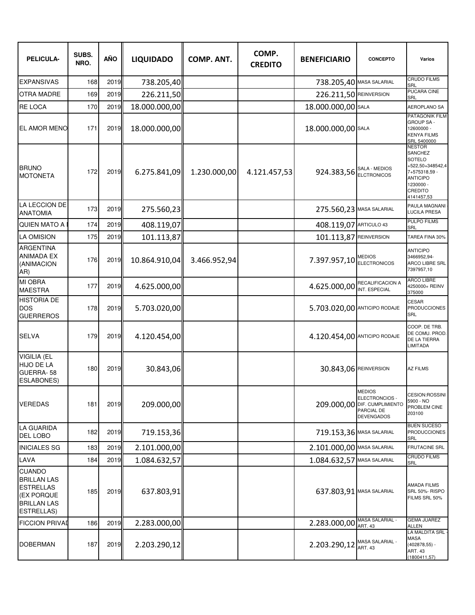| PELICULA-                                                                                                               | SUBS.<br>NRO. | <b>AÑO</b> | <b>LIQUIDADO</b> | <b>COMP. ANT.</b> | COMP.<br><b>CREDITO</b> | <b>BENEFICIARIO</b>          | <b>CONCEPTO</b>                                                                             | Varios                                                                                                                                                |
|-------------------------------------------------------------------------------------------------------------------------|---------------|------------|------------------|-------------------|-------------------------|------------------------------|---------------------------------------------------------------------------------------------|-------------------------------------------------------------------------------------------------------------------------------------------------------|
| <b>EXPANSIVAS</b>                                                                                                       | 168           | 2019       | 738.205,40       |                   |                         | 738.205,40 MASA SALARIAL     |                                                                                             | <b>CRUDO FILMS</b><br>SRL                                                                                                                             |
| <b>OTRA MADRE</b>                                                                                                       | 169           | 2019       | 226.211,50       |                   |                         | 226.211,50 REINVERSION       |                                                                                             | PUCARA CINE<br>SRL                                                                                                                                    |
| <b>RE LOCA</b>                                                                                                          | 170           | 2019       | 18.000.000,00    |                   |                         | 18.000.000,00 SALA           |                                                                                             | <b>AEROPLANO SA</b>                                                                                                                                   |
| <b>EL AMOR MENO</b>                                                                                                     | 171           | 2019       | 18.000.000,00    |                   |                         | 18.000.000,00 SALA           |                                                                                             | PATAGONIK FILM<br><b>GROUP SA-</b><br>12600000 -<br><b>KENYA FILMS</b><br>SRL 5400000                                                                 |
| <b>BRUNO</b><br><b>MOTONETA</b>                                                                                         | 172           | 2019       | 6.275.841,09     | 1.230.000,00      | 4.121.457,53            | 924.383,56 SALA - MEDIOS     |                                                                                             | <b>NESTOR</b><br><b>SANCHEZ</b><br><b>SOTELO</b><br>+522,50+348542,4<br>7+575318.59 -<br><b>ANTICIPO</b><br>1230000 -<br><b>CREDITO</b><br>4141457,53 |
| LA LECCION DE<br><b>ANATOMIA</b>                                                                                        | 173           | 2019       | 275.560,23       |                   |                         | 275.560,23 MASA SALARIAL     |                                                                                             | PAULA MAGNANI<br><b>LUCILA PRESA</b>                                                                                                                  |
| <b>QUIEN MATO A</b>                                                                                                     | 174           | 2019       | 408.119,07       |                   |                         | 408.119,07                   | ARTICULO 43                                                                                 | PULPO FILMS<br>SRL                                                                                                                                    |
| <b>LA OMISION</b>                                                                                                       | 175           | 2019       | 101.113,87       |                   |                         | 101.113,87 REINVERSION       |                                                                                             | TAREA FINA 30%                                                                                                                                        |
| <b>ARGENTINA</b><br><b>ANIMADA EX</b><br>(ANIMACION<br>AR)                                                              | 176           | 2019       | 10.864.910,04    | 3.466.952,94      |                         | 7.397.957,10 REDIOS          |                                                                                             | <b>ANTICIPO</b><br>3466952,94-<br><b>ARCO LIBRE SRL</b><br>7397957,10                                                                                 |
| <b>MI OBRA</b><br><b>MAESTRA</b>                                                                                        | 177           | 2019       | 4.625.000,00     |                   |                         | 4.625.000,00 NEUALIFIUMUL    | RECALIFICACION A                                                                            | <b>ARCO LIBRE</b><br>4250000+ REINV<br>375000                                                                                                         |
| <b>HISTORIA DE</b><br><b>DOS</b><br><b>GUERREROS</b>                                                                    | 178           | 2019       | 5.703.020,00     |                   |                         | 5.703.020,00 ANTICIPO RODAJE |                                                                                             | <b>CESAR</b><br><b>PRODUCCIONES</b><br>SRL                                                                                                            |
| <b>SELVA</b>                                                                                                            | 179           | 2019       | 4.120.454,00     |                   |                         | 4.120.454,00 ANTICIPO RODAJE |                                                                                             | COOP. DE TRB.<br>DE COMU. PROD.<br>DE LA TIERRA<br><b>LIMITADA</b>                                                                                    |
| <b>VIGILIA (EL</b><br><b>HIJO DE LA</b><br>GUERRA-58<br><b>ESLABONES)</b>                                               | 180           | 2019       | 30.843,06        |                   |                         | 30.843,06 REINVERSION        |                                                                                             | <b>AZ FILMS</b>                                                                                                                                       |
| <b>VEREDAS</b>                                                                                                          | 181           | 2019       | 209.000,00       |                   |                         |                              | <b>MEDIOS</b><br>ELECTRONCIOS -<br>209.000,00 DIF. CUMPLIMIENTO<br>PARCIAL DE<br>DEVENGADOS | CESION:ROSSINI<br>5900 - NO<br>PROBLEM CINE<br>203100                                                                                                 |
| <b>LA GUARIDA</b><br><b>DEL LOBO</b>                                                                                    | 182           | 2019       | 719.153,36       |                   |                         | 719.153,36 MASA SALARIAL     |                                                                                             | BUEN SUCESO<br><b>PRODUCCIONES</b><br><b>SRL</b>                                                                                                      |
| <b>INICIALES SG</b>                                                                                                     | 183           | 2019       | 2.101.000,00     |                   |                         | 2.101.000,00 MASA SALARIAL   |                                                                                             | <b>FRUTACINE SRL</b>                                                                                                                                  |
| LAVA                                                                                                                    | 184           | 2019       | 1.084.632,57     |                   |                         | 1.084.632,57 MASA SALARIAL   |                                                                                             | CRUDO FILMS<br>SRL                                                                                                                                    |
| <b>CUANDO</b><br><b>BRILLAN LAS</b><br><b>ESTRELLAS</b><br><b>(EX PORQUE</b><br><b>BRILLAN LAS</b><br><b>ESTRELLAS)</b> | 185           | 2019       | 637.803,91       |                   |                         | 637.803,91 MASA SALARIAL     |                                                                                             | AMADA FILMS<br>SRL 50%-RISPO<br>FILMS SRL 50%                                                                                                         |
| <b>FICCION PRIVAL</b>                                                                                                   | 186           | 2019       | 2.283.000,00     |                   |                         | 2.283.000,00                 | <b>MASA SALARIAL -</b><br><b>ART. 43</b>                                                    | <b>GEMA JUAREZ</b><br>ALLEN                                                                                                                           |
| <b>DOBERMAN</b>                                                                                                         | 187           | 2019       | 2.203.290,12     |                   |                         | 2.203.290,12 MASA SALARIAL - |                                                                                             | LA MALDITA SRL<br>MASA<br>$(402878, 55)$ -<br>ART. 43<br>(1800411,57)                                                                                 |